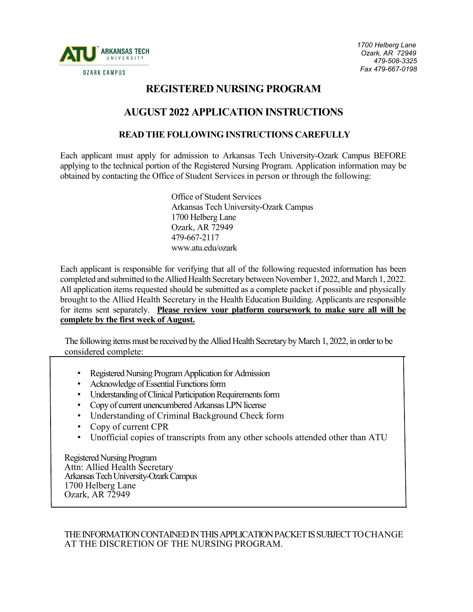

## **REGISTERED NURSING PROGRAM**

## **AUGUST 2022 APPLICATION INSTRUCTIONS**

### **READ THE FOLLOWING INSTRUCTIONS CAREFULLY**

Each applicant must apply for admission to Arkansas Tech University-Ozark Campus BEFORE applying to the technical portion of the Registered Nursing Program. Application information may be obtained by contacting the Office of Student Services in person or through the following:

> Office of Student Services Arkansas Tech University-Ozark Campus 1700 Helberg Lane Ozark, AR 72949 479-667-2117 www.atu.edu/ozark

Each applicant is responsible for verifying that all of the following requested information has been completed and submitted to the Allied Health Secretary between November 1, 2022, and March 1, 2022. All application items requested should be submitted as a complete packet if possible and physically brought to the Allied Health Secretary in the Health Education Building. Applicants are responsible for items sent separately. **Please review your platform coursework to make sure all will be complete by the first week of August.**

The following items must be received by the Allied Health Secretary by March 1, 2022, in order to be considered complete:

- Registered Nursing Program Application for Admission
- Acknowledge of Essential Functions form
- Understanding of Clinical Participation Requirements form
- Copy of current unencumbered Arkansas LPN license
- Understanding of Criminal Background Check form
- Copy of current CPR
- Unofficial copies of transcripts from any other schools attended other than ATU

Registered Nursing Program Attn: Allied Health Secretary Arkansas Tech University-Ozark Campus 1700 Helberg Lane Ozark, AR <sup>72949</sup>

THE INFORMATION CONTAINED IN THIS APPLICATION PACKET IS SUBJECT TO CHANGE AT THE DISCRETION OF THE NURSING PROGRAM.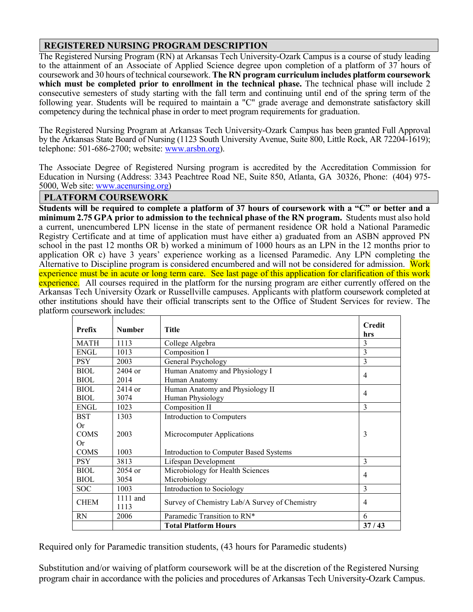### **REGISTERED NURSING PROGRAM DESCRIPTION**

The Registered Nursing Program (RN) at Arkansas Tech University-Ozark Campus is a course of study leading to the attainment of an Associate of Applied Science degree upon completion of a platform of 37 hours of coursework and 30 hours of technical coursework. **The RN program curriculum includes platform coursework which must be completed prior to enrollment in the technical phase.** The technical phase will include 2 consecutive semesters of study starting with the fall term and continuing until end of the spring term of the following year. Students will be required to maintain a "C" grade average and demonstrate satisfactory skill competency during the technical phase in order to meet program requirements for graduation.

The Registered Nursing Program at Arkansas Tech University-Ozark Campus has been granted Full Approval by the Arkansas State Board of Nursing (1123 South University Avenue, Suite 800, Little Rock, AR 72204-1619); telephone: 501-686-2700; website: [www.arsbn.org\)](http://www.arsbn.org/).

The Associate Degree of Registered Nursing program is accredited by the Accreditation Commission for Education in Nursing (Address: 3343 Peachtree Road NE, Suite 850, Atlanta, GA 30326, Phone: (404) 975- 5000, Web site: [www.acenursing.org\)](https://nam02.safelinks.protection.outlook.com/?url=https%3A%2F%2Fwww.acenursing.org%2F&data=02%7C01%7Cbshoop%40atu.edu%7C4bd644967991405c385208d86c8bc900%7C7db7ffd2db6d4416bd6d71f1de7994d2%7C1%7C0%7C637378694912805249&sdata=EHJJyQqvyfUGYCo4uH4BiRM%2BtbrExUatsvoUqvaE4WU%3D&reserved=0)

#### **PLATFORM COURSEWORK**

**Students will be required to complete a platform of 37 hours of coursework with a "C" or better and a minimum 2.75 GPA prior to admission to the technical phase of the RN program.** Students must also hold a current, unencumbered LPN license in the state of permanent residence OR hold a National Paramedic Registry Certificate and at time of application must have either a) graduated from an ASBN approved PN school in the past 12 months OR b) worked a minimum of 1000 hours as an LPN in the 12 months prior to application OR c) have 3 years' experience working as a licensed Paramedic. Any LPN completing the Alternative to Discipline program is considered encumbered and will not be considered for admission. Work experience must be in acute or long term care. See last page of this application for clarification of this work experience. All courses required in the platform for the nursing program are either currently offered on the Arkansas Tech University Ozark or Russellville campuses. Applicants with platform coursework completed at other institutions should have their official transcripts sent to the Office of Student Services for review. The platform coursework includes:

| <b>Prefix</b> | <b>Number</b>    | <b>Title</b>                                  | <b>Credit</b><br>hrs |
|---------------|------------------|-----------------------------------------------|----------------------|
| <b>MATH</b>   | 1113             | College Algebra                               | 3                    |
| <b>ENGL</b>   | 1013             | Composition I                                 | 3                    |
| <b>PSY</b>    | 2003             | General Psychology                            | 3                    |
| <b>BIOL</b>   | $2404$ or        | Human Anatomy and Physiology I                | $\overline{4}$       |
| <b>BIOL</b>   | 2014             | Human Anatomy                                 |                      |
| <b>BIOL</b>   | 2414 or          | Human Anatomy and Physiology II               | $\overline{4}$       |
| <b>BIOL</b>   | 3074             | Human Physiology                              |                      |
| <b>ENGL</b>   | 1023             | Composition II                                | 3                    |
| <b>BST</b>    | 1303             | Introduction to Computers                     |                      |
| <b>Or</b>     |                  |                                               |                      |
| <b>COMS</b>   | 2003             | Microcomputer Applications                    | 3                    |
| Or            |                  |                                               |                      |
| <b>COMS</b>   | 1003             | Introduction to Computer Based Systems        |                      |
| <b>PSY</b>    | 3813             | Lifespan Development                          | 3                    |
| <b>BIOL</b>   | 2054 or          | Microbiology for Health Sciences              | $\overline{4}$       |
| <b>BIOL</b>   | 3054             | Microbiology                                  |                      |
| <b>SOC</b>    | 1003             | Introduction to Sociology                     | 3                    |
| <b>CHEM</b>   | 1111 and<br>1113 | Survey of Chemistry Lab/A Survey of Chemistry | $\overline{4}$       |
| <b>RN</b>     | 2006             | Paramedic Transition to RN*                   | 6                    |
|               |                  | <b>Total Platform Hours</b>                   | 37/43                |

Required only for Paramedic transition students, (43 hours for Paramedic students)

Substitution and/or waiving of platform coursework will be at the discretion of the Registered Nursing program chair in accordance with the policies and procedures of Arkansas Tech University-Ozark Campus.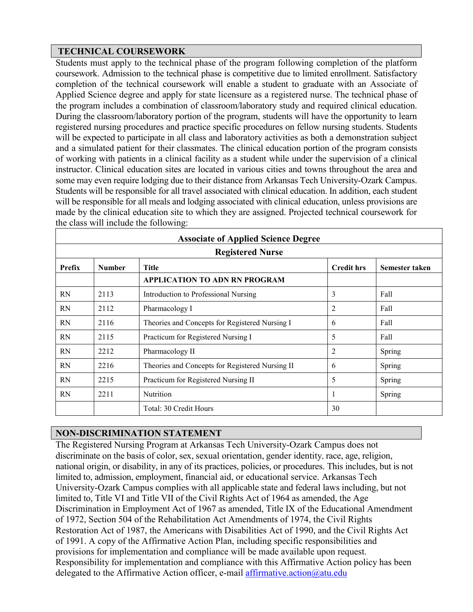## **TECHNICAL COURSEWORK**

Students must apply to the technical phase of the program following completion of the platform coursework. Admission to the technical phase is competitive due to limited enrollment. Satisfactory completion of the technical coursework will enable a student to graduate with an Associate of Applied Science degree and apply for state licensure as a registered nurse. The technical phase of the program includes a combination of classroom/laboratory study and required clinical education. During the classroom/laboratory portion of the program, students will have the opportunity to learn registered nursing procedures and practice specific procedures on fellow nursing students. Students will be expected to participate in all class and laboratory activities as both a demonstration subject and a simulated patient for their classmates. The clinical education portion of the program consists of working with patients in a clinical facility as a student while under the supervision of a clinical instructor. Clinical education sites are located in various cities and towns throughout the area and some may even require lodging due to their distance from Arkansas Tech University-Ozark Campus. Students will be responsible for all travel associated with clinical education. In addition, each student will be responsible for all meals and lodging associated with clinical education, unless provisions are made by the clinical education site to which they are assigned. Projected technical coursework for the class will include the following:

| <b>Associate of Applied Science Degree</b> |               |                                                 |                   |                |  |  |  |
|--------------------------------------------|---------------|-------------------------------------------------|-------------------|----------------|--|--|--|
| <b>Registered Nurse</b>                    |               |                                                 |                   |                |  |  |  |
| Prefix                                     | <b>Number</b> | <b>Title</b>                                    | <b>Credit hrs</b> | Semester taken |  |  |  |
|                                            |               | APPLICATION TO ADN RN PROGRAM                   |                   |                |  |  |  |
| <b>RN</b>                                  | 2113          | Introduction to Professional Nursing            | 3                 | Fall           |  |  |  |
| <b>RN</b>                                  | 2112          | Pharmacology I                                  | $\overline{2}$    | Fall           |  |  |  |
| <b>RN</b>                                  | 2116          | Theories and Concepts for Registered Nursing I  | 6                 | Fall           |  |  |  |
| <b>RN</b>                                  | 2115          | Practicum for Registered Nursing I              | 5                 | Fall           |  |  |  |
| <b>RN</b>                                  | 2212          | Pharmacology II                                 | $\overline{2}$    | Spring         |  |  |  |
| <b>RN</b>                                  | 2216          | Theories and Concepts for Registered Nursing II | 6                 | Spring         |  |  |  |
| <b>RN</b>                                  | 2215          | Practicum for Registered Nursing II             | 5                 | Spring         |  |  |  |
| <b>RN</b>                                  | 2211          | <b>Nutrition</b>                                | 1                 | Spring         |  |  |  |
|                                            |               | Total: 30 Credit Hours                          | 30                |                |  |  |  |

## **NON-DISCRIMINATION STATEMENT**

The Registered Nursing Program at Arkansas Tech University-Ozark Campus does not discriminate on the basis of color, sex, sexual orientation, gender identity, race, age, religion, national origin, or disability, in any of its practices, policies, or procedures. This includes, but is not limited to, admission, employment, financial aid, or educational service. Arkansas Tech University-Ozark Campus complies with all applicable state and federal laws including, but not limited to, Title VI and Title VII of the Civil Rights Act of 1964 as amended, the Age Discrimination in Employment Act of 1967 as amended, Title IX of the Educational Amendment of 1972, Section 504 of the Rehabilitation Act Amendments of 1974, the Civil Rights Restoration Act of 1987, the Americans with Disabilities Act of 1990, and the Civil Rights Act of 1991. A copy of the Affirmative Action Plan, including specific responsibilities and provisions for implementation and compliance will be made available upon request. Responsibility for implementation and compliance with this Affirmative Action policy has been delegated to the Affirmative Action officer, e-mail [affirmative.action@atu.edu](mailto:affirmative.action@atu.edu)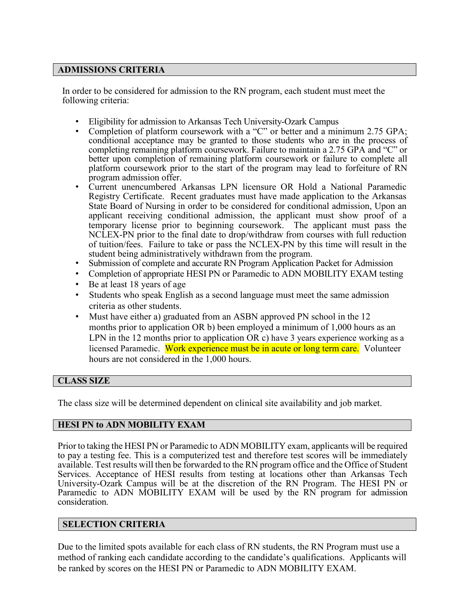#### **ADMISSIONS CRITERIA**

In order to be considered for admission to the RN program, each student must meet the following criteria:

- Eligibility for admission to Arkansas Tech University-Ozark Campus
- Completion of platform coursework with a "C" or better and a minimum 2.75 GPA; conditional acceptance may be granted to those students who are in the process of completing remaining platform coursework. Failure to maintain a 2.75 GPA and "C" or better upon completion of remaining platform coursework or failure to complete all platform coursework prior to the start of the program may lead to forfeiture of RN program admission offer.
- Current unencumbered Arkansas LPN licensure OR Hold a National Paramedic Registry Certificate. Recent graduates must have made application to the Arkansas State Board of Nursing in order to be considered for conditional admission, Upon an applicant receiving conditional admission, the applicant must show proof of a temporary license prior to beginning coursework. The applicant must pass the NCLEX-PN prior to the final date to drop/withdraw from courses with full reduction of tuition/fees. Failure to take or pass the NCLEX-PN by this time will result in the student being administratively withdrawn from the program.
- Submission of complete and accurate RN Program Application Packet for Admission
- Completion of appropriate HESI PN or Paramedic to ADN MOBILITY EXAM testing
- Be at least 18 years of age
- Students who speak English as a second language must meet the same admission criteria as other students.
- Must have either a) graduated from an ASBN approved PN school in the 12 months prior to application OR b) been employed a minimum of 1,000 hours as an LPN in the 12 months prior to application OR c) have 3 years experience working as a licensed Paramedic. Work experience must be in acute or long term care. Volunteer hours are not considered in the 1,000 hours.

## **CLASS SIZE**

The class size will be determined dependent on clinical site availability and job market.

#### **HESI PN to ADN MOBILITY EXAM**

Prior to taking the HESI PN or Paramedic to ADN MOBILITY exam, applicants will be required to pay a testing fee. This is a computerized test and therefore test scores will be immediately available. Test results will then be forwarded to the RN program office and the Office of Student Services. Acceptance of HESI results from testing at locations other than Arkansas Tech University-Ozark Campus will be at the discretion of the RN Program. The HESI PN or Paramedic to ADN MOBILITY EXAM will be used by the RN program for admission consideration.

#### **SELECTION CRITERIA**

Due to the limited spots available for each class of RN students, the RN Program must use a method of ranking each candidate according to the candidate's qualifications. Applicants will be ranked by scores on the HESI PN or Paramedic to ADN MOBILITY EXAM.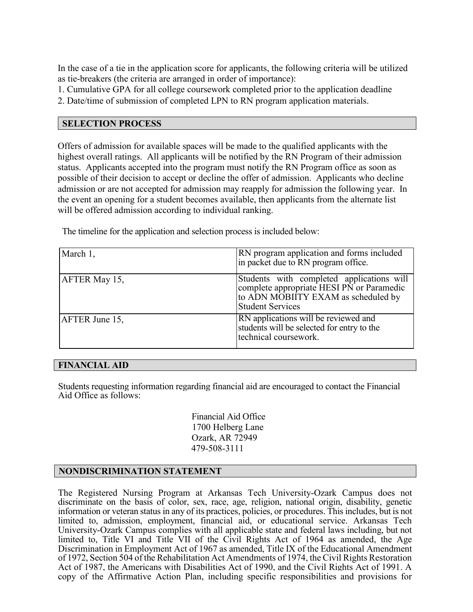In the case of a tie in the application score for applicants, the following criteria will be utilized as tie-breakers (the criteria are arranged in order of importance):

1. Cumulative GPA for all college coursework completed prior to the application deadline

2. Date/time of submission of completed LPN to RN program application materials.

## **SELECTION PROCESS**

Offers of admission for available spaces will be made to the qualified applicants with the highest overall ratings. All applicants will be notified by the RN Program of their admission status. Applicants accepted into the program must notify the RN Program office as soon as possible of their decision to accept or decline the offer of admission. Applicants who decline admission or are not accepted for admission may reapply for admission the following year. In the event an opening for a student becomes available, then applicants from the alternate list will be offered admission according to individual ranking.

The timeline for the application and selection process is included below:

| March 1,       | RN program application and forms included<br>in packet due to RN program office.                                                                         |  |
|----------------|----------------------------------------------------------------------------------------------------------------------------------------------------------|--|
| AFTER May 15,  | Students with completed applications will<br>complete appropriate HESI PN or Paramedic<br>to ADN MOBIITY EXAM as scheduled by<br><b>Student Services</b> |  |
| AFTER June 15, | RN applications will be reviewed and<br>students will be selected for entry to the<br>technical coursework.                                              |  |

#### **FINANCIAL AID**

Students requesting information regarding financial aid are encouraged to contact the Financial Aid Office as follows:

> Financial Aid Office 1700 Helberg Lane Ozark, AR 72949 479-508-3111

## **NONDISCRIMINATION STATEMENT**

The Registered Nursing Program at Arkansas Tech University-Ozark Campus does not discriminate on the basis of color, sex, race, age, religion, national origin, disability, genetic information or veteran status in any of its practices, policies, or procedures. This includes, but is not limited to, admission, employment, financial aid, or educational service. Arkansas Tech University-Ozark Campus complies with all applicable state and federal laws including, but not limited to, Title VI and Title VII of the Civil Rights Act of 1964 as amended, the Age Discrimination in Employment Act of 1967 as amended, Title IX of the Educational Amendment of 1972, Section 504 of the Rehabilitation Act Amendments of 1974, the Civil Rights Restoration Act of 1987, the Americans with Disabilities Act of 1990, and the Civil Rights Act of 1991. A copy of the Affirmative Action Plan, including specific responsibilities and provisions for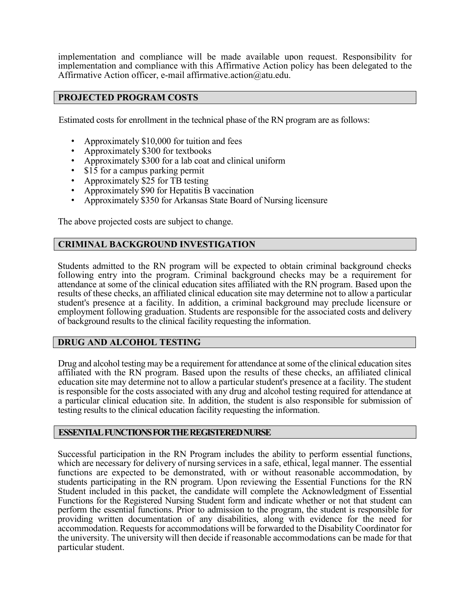implementation and compliance will be made available upon request. Responsibility for implementation and compliance with this Affirmative Action policy has been delegated to the Affirmative Action officer, e-mail affirmative.action@atu.edu.

### **PROJECTED PROGRAM COSTS**

Estimated costs for enrollment in the technical phase of the RN program are as follows:

- Approximately \$10,000 for tuition and fees
- Approximately \$300 for textbooks
- Approximately \$300 for a lab coat and clinical uniform
- \$15 for a campus parking permit
- Approximately \$25 for TB testing
- Approximately \$90 for Hepatitis B vaccination
- Approximately \$350 for Arkansas State Board of Nursing licensure

The above projected costs are subject to change.

### **CRIMINAL BACKGROUND INVESTIGATION**

Students admitted to the RN program will be expected to obtain criminal background checks following entry into the program. Criminal background checks may be a requirement for attendance at some of the clinical education sites affiliated with the RN program. Based upon the results of these checks, an affiliated clinical education site may determine not to allow a particular student's presence at a facility. In addition, a criminal background may preclude licensure or employment following graduation. Students are responsible for the associated costs and delivery of background results to the clinical facility requesting the information.

#### **DRUG AND ALCOHOL TESTING**

Drug and alcohol testing may be a requirement for attendance at some of the clinical education sites affiliated with the RN program. Based upon the results of these checks, an affiliated clinical education site may determine not to allow a particular student's presence at a facility. The student is responsible for the costs associated with any drug and alcohol testing required for attendance at a particular clinical education site. In addition, the student is also responsible for submission of testing results to the clinical education facility requesting the information.

#### **ESSENTIAL FUNCTIONS FOR THE REGISTERED NURSE**

Successful participation in the RN Program includes the ability to perform essential functions, which are necessary for delivery of nursing services in a safe, ethical, legal manner. The essential functions are expected to be demonstrated, with or without reasonable accommodation, by students participating in the RN program. Upon reviewing the Essential Functions for the RN Student included in this packet, the candidate will complete the Acknowledgment of Essential Functions for the Registered Nursing Student form and indicate whether or not that student can perform the essential functions. Prior to admission to the program, the student is responsible for providing written documentation of any disabilities, along with evidence for the need for accommodation. Requests for accommodations will be forwarded to the Disability Coordinator for the university. The university will then decide if reasonable accommodations can be made for that particular student.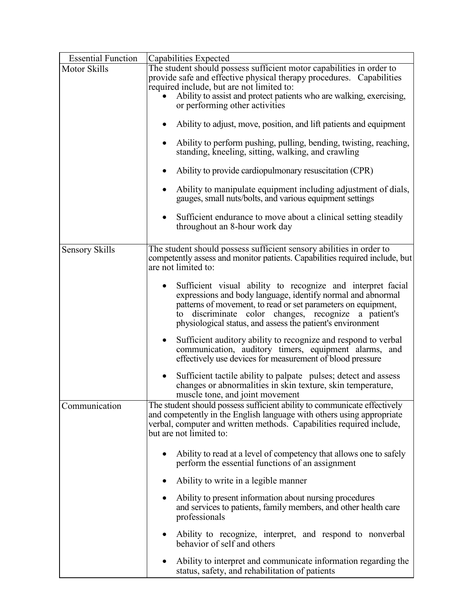| <b>Essential Function</b> | Capabilities Expected                                                                                                                                                                                                                                                                                                  |
|---------------------------|------------------------------------------------------------------------------------------------------------------------------------------------------------------------------------------------------------------------------------------------------------------------------------------------------------------------|
| Motor Skills              | The student should possess sufficient motor capabilities in order to<br>provide safe and effective physical therapy procedures. Capabilities<br>required include, but are not limited to:<br>Ability to assist and protect patients who are walking, exercising,<br>or performing other activities                     |
|                           | Ability to adjust, move, position, and lift patients and equipment<br>$\bullet$                                                                                                                                                                                                                                        |
|                           | Ability to perform pushing, pulling, bending, twisting, reaching,<br>$\bullet$<br>standing, kneeling, sitting, walking, and crawling                                                                                                                                                                                   |
|                           | Ability to provide cardiopulmonary resuscitation (CPR)<br>$\bullet$                                                                                                                                                                                                                                                    |
|                           | Ability to manipulate equipment including adjustment of dials,<br>$\bullet$<br>gauges, small nuts/bolts, and various equipment settings                                                                                                                                                                                |
|                           | Sufficient endurance to move about a clinical setting steadily<br>$\bullet$<br>throughout an 8-hour work day                                                                                                                                                                                                           |
| <b>Sensory Skills</b>     | The student should possess sufficient sensory abilities in order to<br>competently assess and monitor patients. Capabilities required include, but<br>are not limited to:                                                                                                                                              |
|                           | Sufficient visual ability to recognize and interpret facial<br>٠<br>expressions and body language, identify normal and abnormal<br>patterns of movement, to read or set parameters on equipment,<br>to discriminate color changes, recognize a patient's<br>physiological status, and assess the patient's environment |
|                           | Sufficient auditory ability to recognize and respond to verbal<br>$\bullet$<br>communication, auditory timers, equipment alarms, and<br>effectively use devices for measurement of blood pressure                                                                                                                      |
|                           | Sufficient tactile ability to palpate pulses; detect and assess<br>$\bullet$<br>changes or abnormalities in skin texture, skin temperature,<br>muscle tone, and joint movement                                                                                                                                         |
| Communication             | The student should possess sufficient ability to communicate effectively<br>and competently in the English language with others using appropriate<br>verbal, computer and written methods. Capabilities required include,<br>but are not limited to:                                                                   |
|                           | Ability to read at a level of competency that allows one to safely<br>$\bullet$<br>perform the essential functions of an assignment                                                                                                                                                                                    |
|                           | Ability to write in a legible manner<br>٠                                                                                                                                                                                                                                                                              |
|                           | Ability to present information about nursing procedures<br>$\bullet$<br>and services to patients, family members, and other health care<br>professionals                                                                                                                                                               |
|                           | Ability to recognize, interpret, and respond to nonverbal<br>behavior of self and others                                                                                                                                                                                                                               |
|                           | Ability to interpret and communicate information regarding the<br>٠<br>status, safety, and rehabilitation of patients                                                                                                                                                                                                  |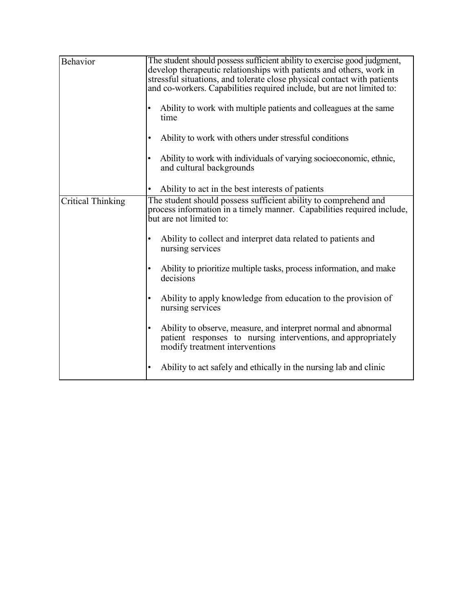| Behavior                 | The student should possess sufficient ability to exercise good judgment,<br>develop therapeutic relationships with patients and others, work in<br>stressful situations, and tolerate close physical contact with patients<br>and co-workers. Capabilities required include, but are not limited to:<br>Ability to work with multiple patients and colleagues at the same<br>time<br>Ability to work with others under stressful conditions<br>Ability to work with individuals of varying socioeconomic, ethnic,<br>and cultural backgrounds<br>Ability to act in the best interests of patients                                                                            |
|--------------------------|------------------------------------------------------------------------------------------------------------------------------------------------------------------------------------------------------------------------------------------------------------------------------------------------------------------------------------------------------------------------------------------------------------------------------------------------------------------------------------------------------------------------------------------------------------------------------------------------------------------------------------------------------------------------------|
| <b>Critical Thinking</b> | The student should possess sufficient ability to comprehend and<br>process information in a timely manner. Capabilities required include,<br>but are not limited to:<br>Ability to collect and interpret data related to patients and<br>nursing services<br>Ability to prioritize multiple tasks, process information, and make<br>decisions<br>Ability to apply knowledge from education to the provision of<br>nursing services<br>Ability to observe, measure, and interpret normal and abnormal<br>patient responses to nursing interventions, and appropriately<br>modify treatment interventions<br>Ability to act safely and ethically in the nursing lab and clinic |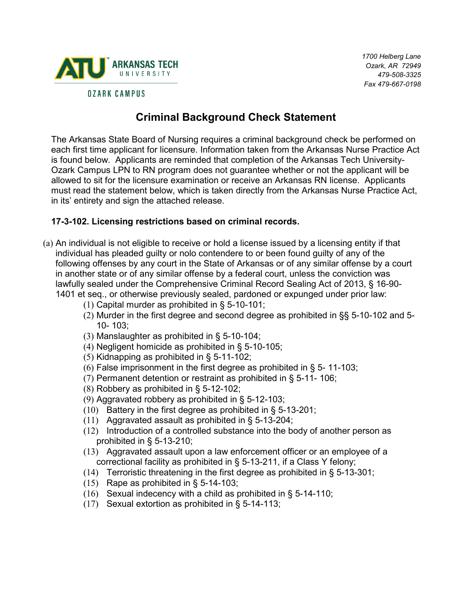

*1700 Helberg Lane Ozark, AR 72949 479-508-3325 Fax 479-667-0198* 

# **Criminal Background Check Statement**

The Arkansas State Board of Nursing requires a criminal background check be performed on each first time applicant for licensure. Information taken from the Arkansas Nurse Practice Act is found below. Applicants are reminded that completion of the Arkansas Tech University-Ozark Campus LPN to RN program does not guarantee whether or not the applicant will be allowed to sit for the licensure examination or receive an Arkansas RN license. Applicants must read the statement below, which is taken directly from the Arkansas Nurse Practice Act, in its' entirety and sign the attached release.

## **17-3-102. Licensing restrictions based on criminal records.**

- (a) An individual is not eligible to receive or hold a license issued by a licensing entity if that individual has pleaded guilty or nolo contendere to or been found guilty of any of the following offenses by any court in the State of Arkansas or of any similar offense by a court in another state or of any similar offense by a federal court, unless the conviction was lawfully sealed under the Comprehensive Criminal Record Sealing Act of 2013, § 16-90- 1401 et seq., or otherwise previously sealed, pardoned or expunged under prior law:
	- (1) Capital murder as prohibited in § 5-10-101;
	- (2) Murder in the first degree and second degree as prohibited in §§ 5-10-102 and 5- 10- 103;
	- (3) Manslaughter as prohibited in § 5-10-104;
	- (4) Negligent homicide as prohibited in § 5-10-105;
	- (5) Kidnapping as prohibited in § 5-11-102;
	- (6) False imprisonment in the first degree as prohibited in  $\S$  5-11-103;
	- (7) Permanent detention or restraint as prohibited in § 5-11- 106;
	- (8) Robbery as prohibited in § 5-12-102;
	- (9) Aggravated robbery as prohibited in § 5-12-103;
	- (10) Battery in the first degree as prohibited in § 5-13-201;
	- (11) Aggravated assault as prohibited in § 5-13-204;
	- (12) Introduction of a controlled substance into the body of another person as prohibited in § 5-13-210;
	- (13) Aggravated assault upon a law enforcement officer or an employee of a correctional facility as prohibited in § 5-13-211, if a Class Y felony;
	- (14) Terroristic threatening in the first degree as prohibited in  $\S$  5-13-301;
	- (15) Rape as prohibited in § 5-14-103;
	- (16) Sexual indecency with a child as prohibited in § 5-14-110;
	- (17) Sexual extortion as prohibited in § 5-14-113;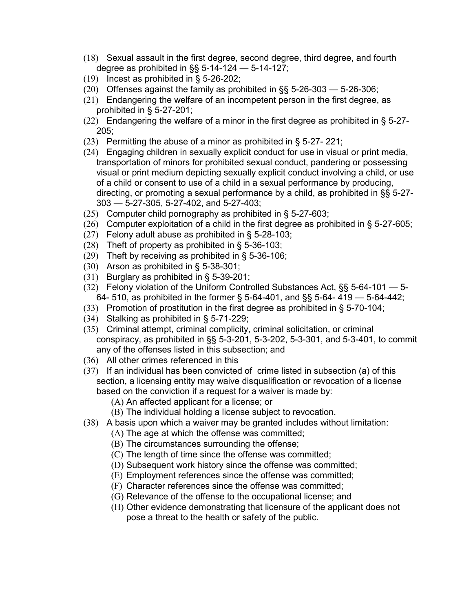- (18) Sexual assault in the first degree, second degree, third degree, and fourth degree as prohibited in §§ 5-14-124 — 5-14-127;
- (19) Incest as prohibited in § 5-26-202;
- (20) Offenses against the family as prohibited in §§ 5-26-303 5-26-306;
- (21) Endangering the welfare of an incompetent person in the first degree, as prohibited in § 5-27-201;
- (22) Endangering the welfare of a minor in the first degree as prohibited in  $\S$  5-27-205;
- (23) Permitting the abuse of a minor as prohibited in § 5-27- 221;
- (24) Engaging children in sexually explicit conduct for use in visual or print media, transportation of minors for prohibited sexual conduct, pandering or possessing visual or print medium depicting sexually explicit conduct involving a child, or use of a child or consent to use of a child in a sexual performance by producing, directing, or promoting a sexual performance by a child, as prohibited in §§ 5-27- 303 — 5-27-305, 5-27-402, and 5-27-403;
- (25) Computer child pornography as prohibited in § 5-27-603;
- $(26)$  Computer exploitation of a child in the first degree as prohibited in § 5-27-605;
- (27) Felony adult abuse as prohibited in § 5-28-103;
- (28) Theft of property as prohibited in § 5-36-103;
- (29) Theft by receiving as prohibited in § 5-36-106;
- (30) Arson as prohibited in § 5-38-301;
- (31) Burglary as prohibited in § 5-39-201;
- (32) Felony violation of the Uniform Controlled Substances Act, §§ 5-64-101 5- 64- 510, as prohibited in the former § 5-64-401, and §§ 5-64- 419 — 5-64-442;
- (33) Promotion of prostitution in the first degree as prohibited in § 5-70-104;
- (34) Stalking as prohibited in § 5-71-229;
- (35) Criminal attempt, criminal complicity, criminal solicitation, or criminal conspiracy, as prohibited in §§ 5-3-201, 5-3-202, 5-3-301, and 5-3-401, to commit any of the offenses listed in this subsection; and
- (36) All other crimes referenced in this
- (37) If an individual has been convicted of crime listed in subsection (a) of this section, a licensing entity may waive disqualification or revocation of a license based on the conviction if a request for a waiver is made by:
	- (A) An affected applicant for a license; or
	- (B) The individual holding a license subject to revocation.
- (38) A basis upon which a waiver may be granted includes without limitation:
	- (A) The age at which the offense was committed;
	- (B) The circumstances surrounding the offense;
	- (C) The length of time since the offense was committed;
	- (D) Subsequent work history since the offense was committed;
	- (E) Employment references since the offense was committed;
	- (F) Character references since the offense was committed;
	- (G) Relevance of the offense to the occupational license; and
	- (H) Other evidence demonstrating that licensure of the applicant does not pose a threat to the health or safety of the public.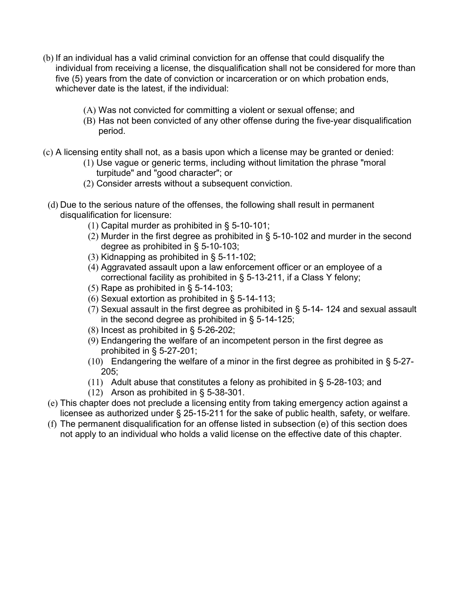- (b) If an individual has a valid criminal conviction for an offense that could disqualify the individual from receiving a license, the disqualification shall not be considered for more than five (5) years from the date of conviction or incarceration or on which probation ends, whichever date is the latest, if the individual:
	- (A) Was not convicted for committing a violent or sexual offense; and
	- (B) Has not been convicted of any other offense during the five-year disqualification period.
- (c) A licensing entity shall not, as a basis upon which a license may be granted or denied:
	- (1) Use vague or generic terms, including without limitation the phrase "moral turpitude" and "good character"; or
	- (2) Consider arrests without a subsequent conviction.
- (d) Due to the serious nature of the offenses, the following shall result in permanent disqualification for licensure:
	- (1) Capital murder as prohibited in § 5-10-101;
	- (2) Murder in the first degree as prohibited in § 5-10-102 and murder in the second degree as prohibited in § 5-10-103;
	- (3) Kidnapping as prohibited in § 5-11-102;
	- (4) Aggravated assault upon a law enforcement officer or an employee of a correctional facility as prohibited in § 5-13-211, if a Class Y felony;
	- (5) Rape as prohibited in  $\S$  5-14-103;
	- (6) Sexual extortion as prohibited in § 5-14-113;
	- (7) Sexual assault in the first degree as prohibited in § 5-14- 124 and sexual assault in the second degree as prohibited in § 5-14-125;
	- (8) Incest as prohibited in § 5-26-202;
	- (9) Endangering the welfare of an incompetent person in the first degree as prohibited in § 5-27-201;
	- $(10)$  Endangering the welfare of a minor in the first degree as prohibited in § 5-27-205;
	- (11) Adult abuse that constitutes a felony as prohibited in § 5-28-103; and
	- (12) Arson as prohibited in § 5-38-301.
- (e) This chapter does not preclude a licensing entity from taking emergency action against a licensee as authorized under § 25-15-211 for the sake of public health, safety, or welfare.
- (f) The permanent disqualification for an offense listed in subsection (e) of this section does not apply to an individual who holds a valid license on the effective date of this chapter.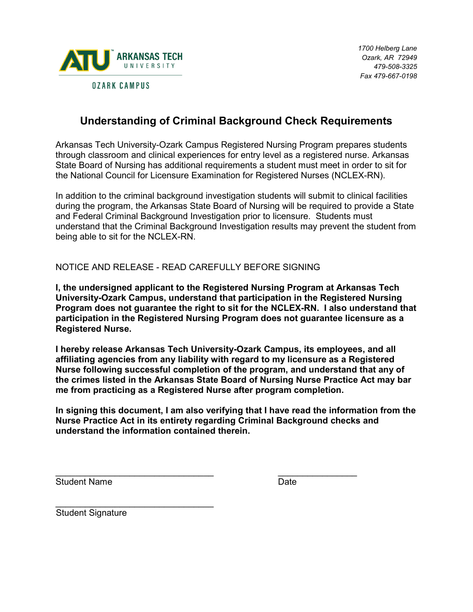

# **Understanding of Criminal Background Check Requirements**

Arkansas Tech University-Ozark Campus Registered Nursing Program prepares students through classroom and clinical experiences for entry level as a registered nurse. Arkansas State Board of Nursing has additional requirements a student must meet in order to sit for the National Council for Licensure Examination for Registered Nurses (NCLEX-RN).

In addition to the criminal background investigation students will submit to clinical facilities during the program, the Arkansas State Board of Nursing will be required to provide a State and Federal Criminal Background Investigation prior to licensure. Students must understand that the Criminal Background Investigation results may prevent the student from being able to sit for the NCLEX-RN.

NOTICE AND RELEASE - READ CAREFULLY BEFORE SIGNING

**I, the undersigned applicant to the Registered Nursing Program at Arkansas Tech University-Ozark Campus, understand that participation in the Registered Nursing Program does not guarantee the right to sit for the NCLEX-RN. I also understand that participation in the Registered Nursing Program does not guarantee licensure as a Registered Nurse.** 

**I hereby release Arkansas Tech University-Ozark Campus, its employees, and all affiliating agencies from any liability with regard to my licensure as a Registered Nurse following successful completion of the program, and understand that any of the crimes listed in the Arkansas State Board of Nursing Nurse Practice Act may bar me from practicing as a Registered Nurse after program completion.** 

**In signing this document, I am also verifying that I have read the information from the Nurse Practice Act in its entirety regarding Criminal Background checks and understand the information contained therein.** 

\_\_\_\_\_\_\_\_\_\_\_\_\_\_\_\_\_\_\_\_\_\_\_\_\_\_\_\_\_\_\_\_ \_\_\_\_\_\_\_\_\_\_\_\_\_\_\_\_

Student Name **Date** 

\_\_\_\_\_\_\_\_\_\_\_\_\_\_\_\_\_\_\_\_\_\_\_\_\_\_\_\_\_\_\_\_ Student Signature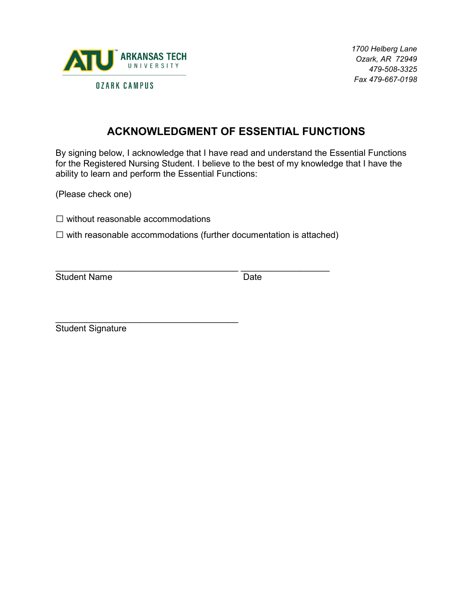

*1700 Helberg Lane Ozark, AR 72949 479-508-3325 Fax 479-667-0198* 

# **ACKNOWLEDGMENT OF ESSENTIAL FUNCTIONS**

By signing below, I acknowledge that I have read and understand the Essential Functions for the Registered Nursing Student. I believe to the best of my knowledge that I have the ability to learn and perform the Essential Functions:

(Please check one)

 $\square$  without reasonable accommodations

 $\square$  with reasonable accommodations (further documentation is attached)

\_\_\_\_\_\_\_\_\_\_\_\_\_\_\_\_\_\_\_\_\_\_\_\_\_\_\_\_\_\_\_\_\_\_\_\_\_ \_\_\_\_\_\_\_\_\_\_\_\_\_\_\_\_\_\_ Student Name Date

\_\_\_\_\_\_\_\_\_\_\_\_\_\_\_\_\_\_\_\_\_\_\_\_\_\_\_\_\_\_\_\_\_\_\_\_\_ Student Signature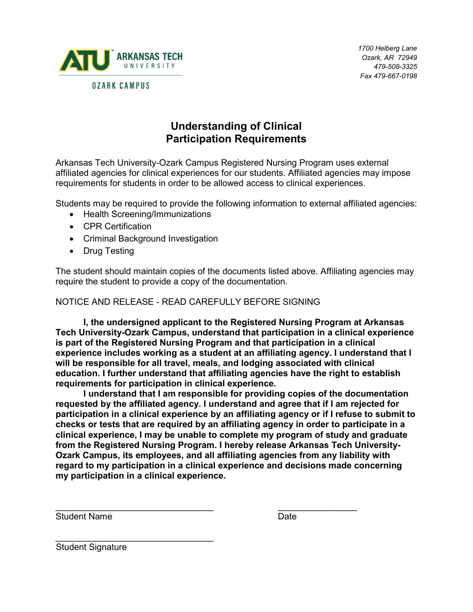

# **Understanding of Clinical Participation Requirements**

Arkansas Tech University-Ozark Campus Registered Nursing Program uses external affiliated agencies for clinical experiences for our students. Affiliated agencies may impose requirements for students in order to be allowed access to clinical experiences.

Students may be required to provide the following information to external affiliated agencies:

- Health Screening/Immunizations
- CPR Certification
- Criminal Background Investigation
- Drug Testing

The student should maintain copies of the documents listed above. Affiliating agencies may require the student to provide a copy of the documentation.

NOTICE AND RELEASE - READ CAREFULLY BEFORE SIGNING

**I, the undersigned applicant to the Registered Nursing Program at Arkansas Tech University-Ozark Campus, understand that participation in a clinical experience is part of the Registered Nursing Program and that participation in a clinical experience includes working as a student at an affiliating agency. I understand that I will be responsible for all travel, meals, and lodging associated with clinical education. I further understand that affiliating agencies have the right to establish requirements for participation in clinical experience.** 

**I understand that I am responsible for providing copies of the documentation requested by the affiliated agency. I understand and agree that if I am rejected for participation in a clinical experience by an affiliating agency or if I refuse to submit to checks or tests that are required by an affiliating agency in order to participate in a clinical experience, I may be unable to complete my program of study and graduate from the Registered Nursing Program. I hereby release Arkansas Tech University-Ozark Campus, its employees, and all affiliating agencies from any liability with regard to my participation in a clinical experience and decisions made concerning my participation in a clinical experience.** 

Student Name **Date** 

\_\_\_\_\_\_\_\_\_\_\_\_\_\_\_\_\_\_\_\_\_\_\_\_\_\_\_\_\_\_\_\_ \_\_\_\_\_\_\_\_\_\_\_\_\_\_\_\_

\_\_\_\_\_\_\_\_\_\_\_\_\_\_\_\_\_\_\_\_\_\_\_\_\_\_\_\_\_\_\_\_ Student Signature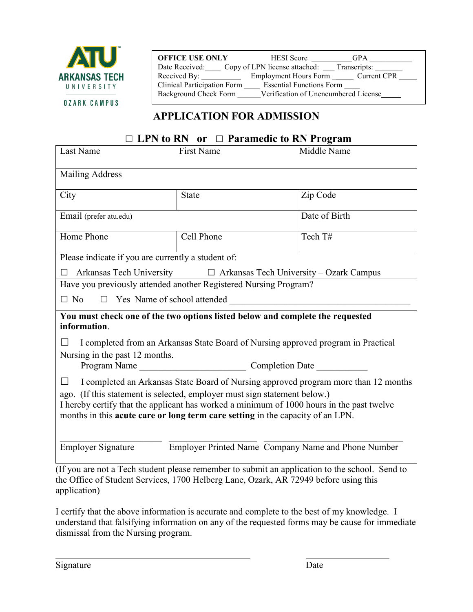

**OFFICE USE ONLY** HESI Score GPA Date Received: Copy of LPN license attached: Transcripts: Received By: \_\_\_\_\_\_\_\_\_\_\_\_ Employment Hours Form \_\_\_\_\_\_ Current CPR Clinical Participation Form \_\_\_\_ Essential Functions Form \_\_\_\_ Background Check Form Verification of Unencumbered License

# **APPLICATION FOR ADMISSION**

## □ **LPN to RN or** □ **Paramedic to RN Program**

| <b>First Name</b>                                                                              | Middle Name                                                                                                                                                                                                                                                                                                         |  |  |  |  |
|------------------------------------------------------------------------------------------------|---------------------------------------------------------------------------------------------------------------------------------------------------------------------------------------------------------------------------------------------------------------------------------------------------------------------|--|--|--|--|
| <b>Mailing Address</b>                                                                         |                                                                                                                                                                                                                                                                                                                     |  |  |  |  |
| <b>State</b>                                                                                   | Zip Code                                                                                                                                                                                                                                                                                                            |  |  |  |  |
|                                                                                                | Date of Birth                                                                                                                                                                                                                                                                                                       |  |  |  |  |
| Cell Phone                                                                                     | Tech T#                                                                                                                                                                                                                                                                                                             |  |  |  |  |
| Please indicate if you are currently a student of:                                             |                                                                                                                                                                                                                                                                                                                     |  |  |  |  |
| Arkansas Tech University □ Arkansas Tech University - Ozark Campus<br>П                        |                                                                                                                                                                                                                                                                                                                     |  |  |  |  |
| Have you previously attended another Registered Nursing Program?                               |                                                                                                                                                                                                                                                                                                                     |  |  |  |  |
| $\Box$ Yes Name of school attended                                                             |                                                                                                                                                                                                                                                                                                                     |  |  |  |  |
| You must check one of the two options listed below and complete the requested<br>information.  |                                                                                                                                                                                                                                                                                                                     |  |  |  |  |
| I completed from an Arkansas State Board of Nursing approved program in Practical              |                                                                                                                                                                                                                                                                                                                     |  |  |  |  |
|                                                                                                |                                                                                                                                                                                                                                                                                                                     |  |  |  |  |
|                                                                                                |                                                                                                                                                                                                                                                                                                                     |  |  |  |  |
| I completed an Arkansas State Board of Nursing approved program more than 12 months<br>$\perp$ |                                                                                                                                                                                                                                                                                                                     |  |  |  |  |
| ago. (If this statement is selected, employer must sign statement below.)                      |                                                                                                                                                                                                                                                                                                                     |  |  |  |  |
| I hereby certify that the applicant has worked a minimum of 1000 hours in the past twelve      |                                                                                                                                                                                                                                                                                                                     |  |  |  |  |
| months in this acute care or long term care setting in the capacity of an LPN.                 |                                                                                                                                                                                                                                                                                                                     |  |  |  |  |
|                                                                                                |                                                                                                                                                                                                                                                                                                                     |  |  |  |  |
| Employer Printed Name Company Name and Phone Number<br><b>Employer Signature</b>               |                                                                                                                                                                                                                                                                                                                     |  |  |  |  |
|                                                                                                | $\frac{1}{2}$ $\frac{1}{2}$ $\frac{1}{2}$ $\frac{1}{2}$ $\frac{1}{2}$ $\frac{1}{2}$ $\frac{1}{2}$ $\frac{1}{2}$ $\frac{1}{2}$ $\frac{1}{2}$ $\frac{1}{2}$ $\frac{1}{2}$ $\frac{1}{2}$ $\frac{1}{2}$ $\frac{1}{2}$ $\frac{1}{2}$ $\frac{1}{2}$ $\frac{1}{2}$ $\frac{1}{2}$ $\frac{1}{2}$ $\frac{1}{2}$ $\frac{1}{2}$ |  |  |  |  |

(If you are not a Tech student please remember to submit an application to the school. Send to the Office of Student Services, 1700 Helberg Lane, Ozark, AR 72949 before using this application)

I certify that the above information is accurate and complete to the best of my knowledge. I understand that falsifying information on any of the requested forms may be cause for immediate dismissal from the Nursing program.